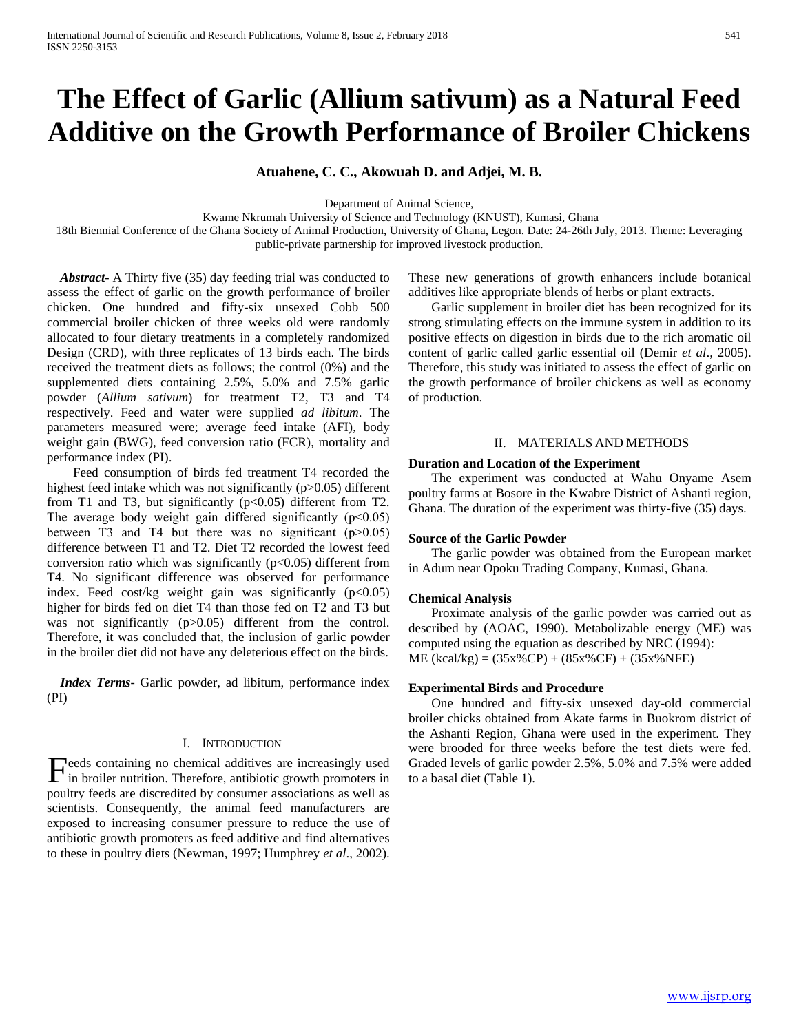# **The Effect of Garlic (Allium sativum) as a Natural Feed Additive on the Growth Performance of Broiler Chickens**

**Atuahene, C. C., Akowuah D. and Adjei, M. B.**

Department of Animal Science,

Kwame Nkrumah University of Science and Technology (KNUST), Kumasi, Ghana

18th Biennial Conference of the Ghana Society of Animal Production, University of Ghana, Legon. Date: 24-26th July, 2013. Theme: Leveraging public-private partnership for improved livestock production.

 *Abstract***-** A Thirty five (35) day feeding trial was conducted to assess the effect of garlic on the growth performance of broiler chicken. One hundred and fifty-six unsexed Cobb 500 commercial broiler chicken of three weeks old were randomly allocated to four dietary treatments in a completely randomized Design (CRD), with three replicates of 13 birds each. The birds received the treatment diets as follows; the control (0%) and the supplemented diets containing 2.5%, 5.0% and 7.5% garlic powder (*Allium sativum*) for treatment T2, T3 and T4 respectively. Feed and water were supplied *ad libitum*. The parameters measured were; average feed intake (AFI), body weight gain (BWG), feed conversion ratio (FCR), mortality and performance index (PI).

 Feed consumption of birds fed treatment T4 recorded the highest feed intake which was not significantly (p>0.05) different from T1 and T3, but significantly  $(p<0.05)$  different from T2. The average body weight gain differed significantly  $(p<0.05)$ between T3 and T4 but there was no significant  $(p>0.05)$ difference between T1 and T2. Diet T2 recorded the lowest feed conversion ratio which was significantly  $(p<0.05)$  different from T4. No significant difference was observed for performance index. Feed cost/kg weight gain was significantly  $(p<0.05)$ higher for birds fed on diet T4 than those fed on T2 and T3 but was not significantly (p>0.05) different from the control. Therefore, it was concluded that, the inclusion of garlic powder in the broiler diet did not have any deleterious effect on the birds.

 *Index Terms*- Garlic powder, ad libitum, performance index (PI)

# I. INTRODUCTION

eeds containing no chemical additives are increasingly used Feeds containing no chemical additives are increasingly used Graded levels of garlic powder 2.5%, 5.0% and 7.5% were added in broiler nutrition. Therefore, antibiotic growth promoters in to a basal diet (Table 1). poultry feeds are discredited by consumer associations as well as scientists. Consequently, the animal feed manufacturers are exposed to increasing consumer pressure to reduce the use of antibiotic growth promoters as feed additive and find alternatives to these in poultry diets (Newman, 1997; Humphrey *et al*., 2002).

These new generations of growth enhancers include botanical additives like appropriate blends of herbs or plant extracts.

 Garlic supplement in broiler diet has been recognized for its strong stimulating effects on the immune system in addition to its positive effects on digestion in birds due to the rich aromatic oil content of garlic called garlic essential oil (Demir *et al*., 2005). Therefore, this study was initiated to assess the effect of garlic on the growth performance of broiler chickens as well as economy of production.

# II. MATERIALS AND METHODS

#### **Duration and Location of the Experiment**

 The experiment was conducted at Wahu Onyame Asem poultry farms at Bosore in the Kwabre District of Ashanti region, Ghana. The duration of the experiment was thirty-five (35) days.

#### **Source of the Garlic Powder**

 The garlic powder was obtained from the European market in Adum near Opoku Trading Company, Kumasi, Ghana.

# **Chemical Analysis**

 Proximate analysis of the garlic powder was carried out as described by (AOAC, 1990). Metabolizable energy (ME) was computed using the equation as described by NRC (1994):  $ME (kcal/kg) = (35x%CP) + (85x%CF) + (35x%NFE)$ 

# **Experimental Birds and Procedure**

 One hundred and fifty-six unsexed day-old commercial broiler chicks obtained from Akate farms in Buokrom district of the Ashanti Region, Ghana were used in the experiment. They were brooded for three weeks before the test diets were fed.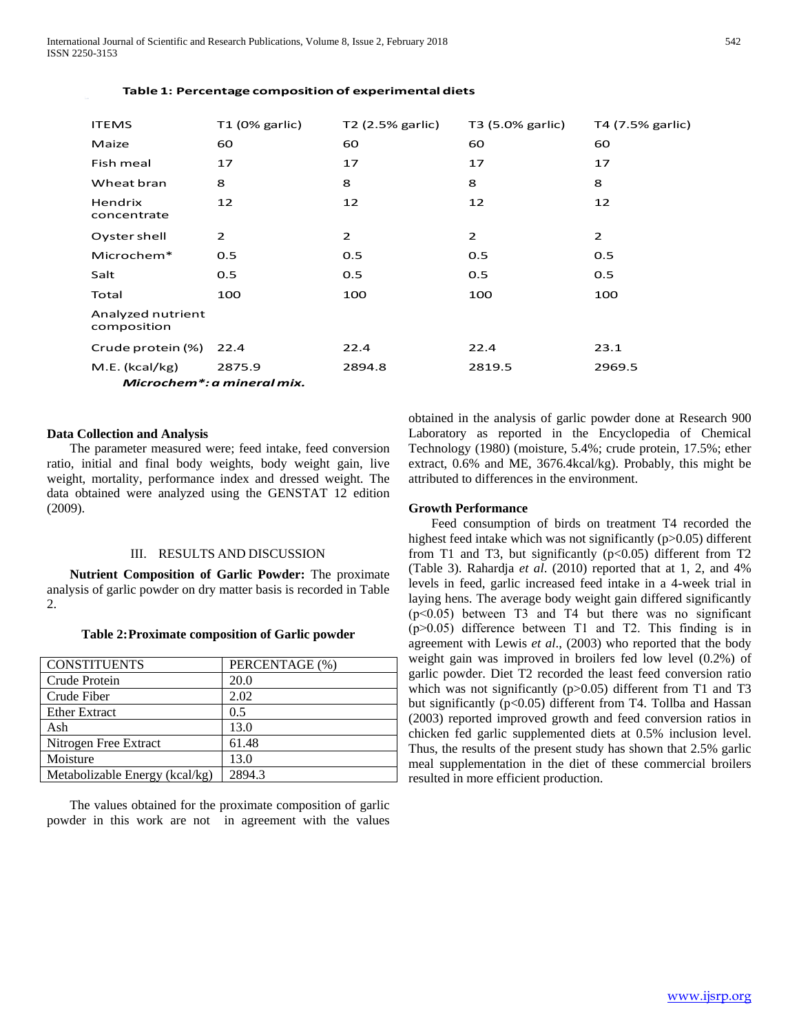International Journal of Scientific and Research Publications, Volume 8, Issue 2, February 2018 542 ISSN 2250-3153

| <b>ITEMS</b>                     | $T1$ (0% garlic) | T2 (2.5% garlic) | T3 (5.0% garlic) | T4 (7.5% garlic) |  |  |
|----------------------------------|------------------|------------------|------------------|------------------|--|--|
| Maize                            | 60               | 60               | 60               | 60               |  |  |
| Fish meal                        | 17               | 17               | 17               | 17               |  |  |
| Wheat bran                       | 8                | 8                | 8                | 8                |  |  |
| Hendrix<br>concentrate           | 12               | 12               | 12               | 12               |  |  |
| Oyster shell                     | $\overline{2}$   | 2                | $\overline{2}$   | $\overline{2}$   |  |  |
| Microchem*                       | 0.5              | 0.5              | 0.5              | 0.5              |  |  |
| Salt                             | 0.5              | 0.5              | 0.5              | 0.5              |  |  |
| Total                            | 100              | 100              | 100              | 100              |  |  |
| Analyzed nutrient<br>composition |                  |                  |                  |                  |  |  |
| Crude protein (%)                | 22.4             | 22.4             | 22.4             | 23.1             |  |  |
| M.E. (kcal/kg)                   | 2875.9           | 2894.8           | 2819.5           | 2969.5           |  |  |
| Microchem*: a mineral mix.       |                  |                  |                  |                  |  |  |

# **Table 1: Percentage composition of experimental diets**

# **Data Collection and Analysis**

 The parameter measured were; feed intake, feed conversion ratio, initial and final body weights, body weight gain, live weight, mortality, performance index and dressed weight. The data obtained were analyzed using the GENSTAT 12 edition (2009).

# III. RESULTS AND DISCUSSION

 **Nutrient Composition of Garlic Powder:** The proximate analysis of garlic powder on dry matter basis is recorded in Table  $\mathcal{D}$ 

**Table 2:Proximate composition of Garlic powder**

| <b>CONSTITUENTS</b>            | PERCENTAGE (%) |  |  |
|--------------------------------|----------------|--|--|
| Crude Protein                  | 20.0           |  |  |
| Crude Fiber                    | 2.02           |  |  |
| <b>Ether Extract</b>           | 0.5            |  |  |
| Ash                            | 13.0           |  |  |
| Nitrogen Free Extract          | 61.48          |  |  |
| Moisture                       | 13.0           |  |  |
| Metabolizable Energy (kcal/kg) | 2894.3         |  |  |

 The values obtained for the proximate composition of garlic powder in this work are not in agreement with the values obtained in the analysis of garlic powder done at Research 900 Laboratory as reported in the Encyclopedia of Chemical Technology (1980) (moisture, 5.4%; crude protein, 17.5%; ether extract, 0.6% and ME, 3676.4kcal/kg). Probably, this might be attributed to differences in the environment.

#### **Growth Performance**

 Feed consumption of birds on treatment T4 recorded the highest feed intake which was not significantly (p>0.05) different from T1 and T3, but significantly ( $p < 0.05$ ) different from T2 (Table 3). Rahardja *et al*. (2010) reported that at 1, 2, and 4% levels in feed, garlic increased feed intake in a 4-week trial in laying hens. The average body weight gain differed significantly  $(p<0.05)$  between T3 and T4 but there was no significant  $(p>0.05)$  difference between T1 and T2. This finding is in agreement with Lewis *et al*., (2003) who reported that the body weight gain was improved in broilers fed low level (0.2%) of garlic powder. Diet T2 recorded the least feed conversion ratio which was not significantly (p>0.05) different from T1 and T3 but significantly (p<0.05) different from T4. Tollba and Hassan (2003) reported improved growth and feed conversion ratios in chicken fed garlic supplemented diets at 0.5% inclusion level. Thus, the results of the present study has shown that 2.5% garlic meal supplementation in the diet of these commercial broilers resulted in more efficient production.